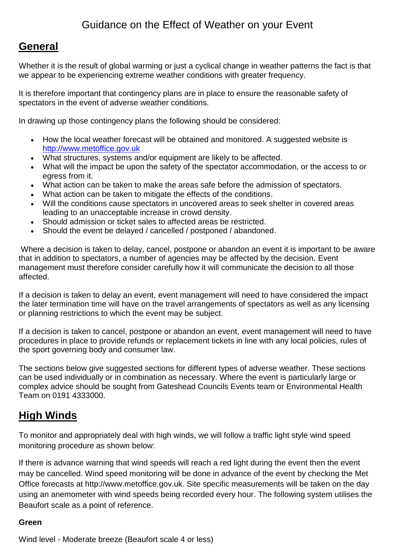# Guidance on the Effect of Weather on your Event

# **General**

Whether it is the result of global warming or just a cyclical change in weather patterns the fact is that we appear to be experiencing extreme weather conditions with greater frequency.

It is therefore important that contingency plans are in place to ensure the reasonable safety of spectators in the event of adverse weather conditions.

In drawing up those contingency plans the following should be considered:

- How the local weather forecast will be obtained and monitored. A suggested website is [http://www.metoffice.gov.uk](http://www.metoffice.gov.uk/)
- What structures, systems and/or equipment are likely to be affected.
- What will the impact be upon the safety of the spectator accommodation, or the access to or egress from it.
- What action can be taken to make the areas safe before the admission of spectators.
- What action can be taken to mitigate the effects of the conditions.
- Will the conditions cause spectators in uncovered areas to seek shelter in covered areas leading to an unacceptable increase in crowd density.
- Should admission or ticket sales to affected areas be restricted.
- Should the event be delayed / cancelled / postponed / abandoned.

Where a decision is taken to delay, cancel, postpone or abandon an event it is important to be aware that in addition to spectators, a number of agencies may be affected by the decision. Event management must therefore consider carefully how it will communicate the decision to all those affected.

If a decision is taken to delay an event, event management will need to have considered the impact the later termination time will have on the travel arrangements of spectators as well as any licensing or planning restrictions to which the event may be subject.

If a decision is taken to cancel, postpone or abandon an event, event management will need to have procedures in place to provide refunds or replacement tickets in line with any local policies, rules of the sport governing body and consumer law.

The sections below give suggested sections for different types of adverse weather. These sections can be used individually or in combination as necessary. Where the event is particularly large or complex advice should be sought from Gateshead Councils Events team or Environmental Health Team on 0191 4333000.

# **High Winds**

To monitor and appropriately deal with high winds, we will follow a traffic light style wind speed monitoring procedure as shown below:

If there is advance warning that wind speeds will reach a red light during the event then the event may be cancelled. Wind speed monitoring will be done in advance of the event by checking the Met Office forecasts at http://www.metoffice.gov.uk. Site specific measurements will be taken on the day using an anemometer with wind speeds being recorded every hour. The following system utilises the Beaufort scale as a point of reference.

#### **Green**

Wind level - Moderate breeze (Beaufort scale 4 or less)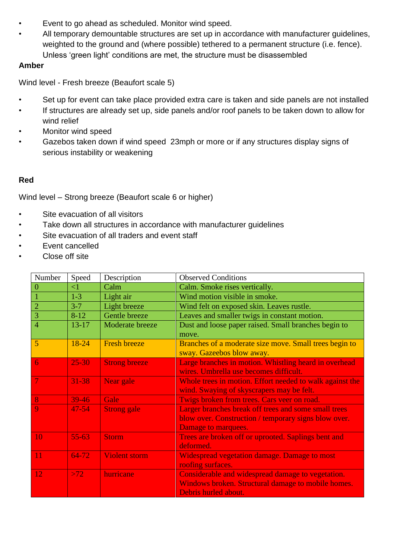- Event to go ahead as scheduled. Monitor wind speed.
- All temporary demountable structures are set up in accordance with manufacturer guidelines, weighted to the ground and (where possible) tethered to a permanent structure (i.e. fence). Unless 'green light' conditions are met, the structure must be disassembled

## **Amber**

Wind level - Fresh breeze (Beaufort scale 5)

- Set up for event can take place provided extra care is taken and side panels are not installed
- If structures are already set up, side panels and/or roof panels to be taken down to allow for wind relief
- Monitor wind speed
- Gazebos taken down if wind speed 23mph or more or if any structures display signs of serious instability or weakening

## **Red**

Wind level – Strong breeze (Beaufort scale 6 or higher)

- Site evacuation of all visitors
- Take down all structures in accordance with manufacturer guidelines
- Site evacuation of all traders and event staff
- Event cancelled
- Close off site

| Number         | Speed     | Description          | <b>Observed Conditions</b>                               |
|----------------|-----------|----------------------|----------------------------------------------------------|
| 0              | $\leq$ 1  | Calm                 | Calm. Smoke rises vertically.                            |
|                | $1-3$     | Light air            | Wind motion visible in smoke.                            |
| $\overline{2}$ | $3 - 7$   | Light breeze         | Wind felt on exposed skin. Leaves rustle.                |
| $\overline{3}$ | $8-12$    | Gentle breeze        | Leaves and smaller twigs in constant motion.             |
| $\overline{4}$ | $13 - 17$ | Moderate breeze      | Dust and loose paper raised. Small branches begin to     |
|                |           |                      | move.                                                    |
| S              | 18-24     | <b>Fresh breeze</b>  | Branches of a moderate size move. Small trees begin to   |
|                |           |                      | sway. Gazeebos blow away.                                |
| 6              | $25 - 30$ | <b>Strong breeze</b> | Large branches in motion. Whistling heard in overhead    |
|                |           |                      | wires. Umbrella use becomes difficult.                   |
| $\overline{7}$ | 31-38     | Near gale            | Whole trees in motion. Effort needed to walk against the |
|                |           |                      | wind. Swaying of skyscrapers may be felt.                |
| 8 <sup>°</sup> | $39-46$   | Gale                 | Twigs broken from trees. Cars veer on road.              |
| 9              | $47 - 54$ | <b>Strong gale</b>   | Larger branches break off trees and some small trees     |
|                |           |                      | blow over. Construction / temporary signs blow over.     |
|                |           |                      | Damage to marquees.                                      |
| 10             | $55 - 63$ | <b>Storm</b>         | Trees are broken off or uprooted. Saplings bent and      |
|                |           |                      | deformed.                                                |
| 11             | $64 - 72$ | <b>Violent storm</b> | <b>Widespread vegetation damage. Damage to most</b>      |
|                |           |                      | roofing surfaces.                                        |
| 12             | >72       | hurricane            | Considerable and widespread damage to vegetation.        |
|                |           |                      | Windows broken. Structural damage to mobile homes.       |
|                |           |                      | Debris hurled about.                                     |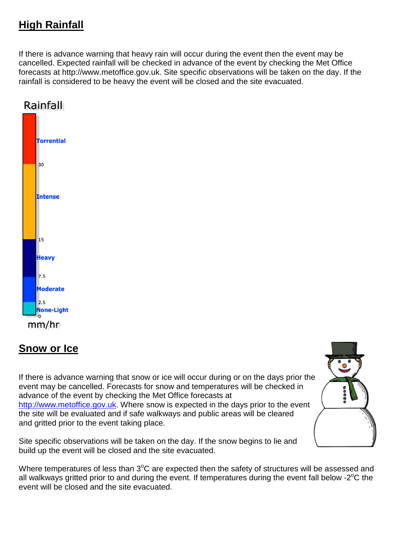# **High Rainfall**

If there is advance warning that heavy rain will occur during the event then the event may be cancelled. Expected rainfall will be checked in advance of the event by checking the Met Office forecasts at http://www.metoffice.gov.uk. Site specific observations will be taken on the day. If the rainfall is considered to be heavy the event will be closed and the site evacuated.



# **Snow or Ice**

If there is advance warning that snow or ice will occur during or on the days prior the event may be cancelled. Forecasts for snow and temperatures will be checked in advance of the event by checking the Met Office forecasts at [http://www.metoffice.gov.uk.](http://www.metoffice.gov.uk/) Where snow is expected in the days prior to the event the site will be evaluated and if safe walkways and public areas will be cleared and gritted prior to the event taking place.

Site specific observations will be taken on the day. If the snow begins to lie and build up the event will be closed and the site evacuated.



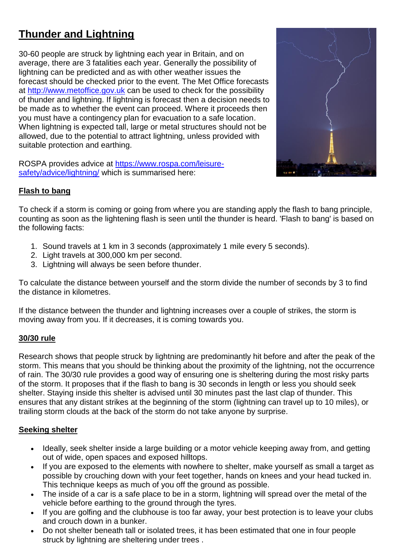# **Thunder and Lightning**

30-60 people are struck by lightning each year in Britain, and on average, there are 3 fatalities each year. Generally the possibility of lightning can be predicted and as with other weather issues the forecast should be checked prior to the event. The Met Office forecasts at [http://www.metoffice.gov.uk](http://www.metoffice.gov.uk/) can be used to check for the possibility of thunder and lightning. If lightning is forecast then a decision needs to be made as to whether the event can proceed. Where it proceeds then you must have a contingency plan for evacuation to a safe location. When lightning is expected tall, large or metal structures should not be allowed, due to the potential to attract lightning, unless provided with suitable protection and earthing.

ROSPA provides advice at [https://www.rospa.com/leisure](https://www.rospa.com/leisure-safety/advice/lightning/)[safety/advice/lightning/](https://www.rospa.com/leisure-safety/advice/lightning/) which is summarised here:



## **Flash to bang**

To check if a storm is coming or going from where you are standing apply the flash to bang principle, counting as soon as the lightening flash is seen until the thunder is heard. 'Flash to bang' is based on the following facts:

- 1. Sound travels at 1 km in 3 seconds (approximately 1 mile every 5 seconds).
- 2. Light travels at 300,000 km per second.
- 3. Lightning will always be seen before thunder.

To calculate the distance between yourself and the storm divide the number of seconds by 3 to find the distance in kilometres.

If the distance between the thunder and lightning increases over a couple of strikes, the storm is moving away from you. If it decreases, it is coming towards you.

#### **30/30 rule**

Research shows that people struck by lightning are predominantly hit before and after the peak of the storm. This means that you should be thinking about the proximity of the lightning, not the occurrence of rain. The 30/30 rule provides a good way of ensuring one is sheltering during the most risky parts of the storm. It proposes that if the flash to bang is 30 seconds in length or less you should seek shelter. Staying inside this shelter is advised until 30 minutes past the last clap of thunder. This ensures that any distant strikes at the beginning of the storm (lightning can travel up to 10 miles), or trailing storm clouds at the back of the storm do not take anyone by surprise.

#### **Seeking shelter**

- Ideally, seek shelter inside a large building or a motor vehicle keeping away from, and getting out of wide, open spaces and exposed hilltops.
- If you are exposed to the elements with nowhere to shelter, make yourself as small a target as possible by crouching down with your feet together, hands on knees and your head tucked in. This technique keeps as much of you off the ground as possible.
- The inside of a car is a safe place to be in a storm, lightning will spread over the metal of the vehicle before earthing to the ground through the tyres.
- If you are golfing and the clubhouse is too far away, your best protection is to leave your clubs and crouch down in a bunker.
- Do not shelter beneath tall or isolated trees, it has been estimated that one in four people struck by lightning are sheltering under trees .